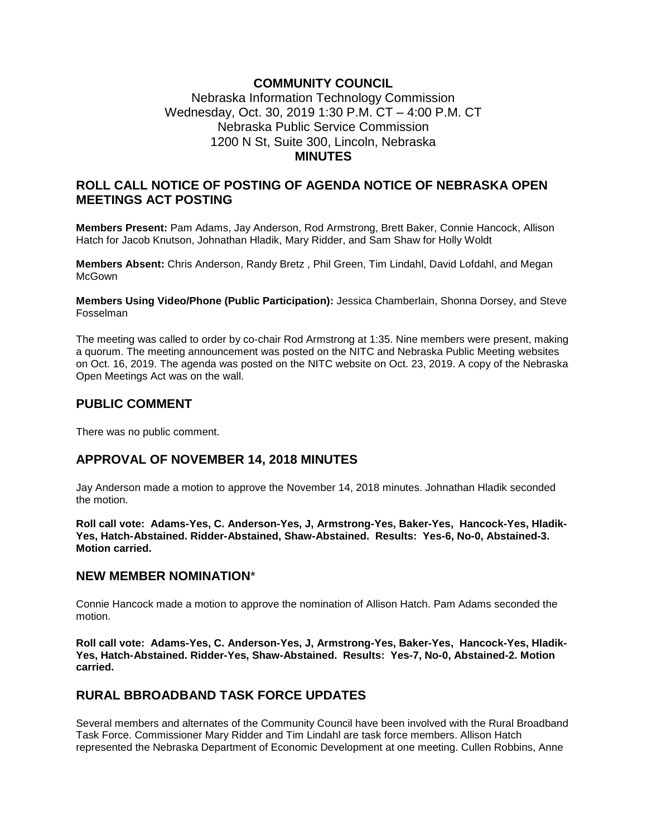## **COMMUNITY COUNCIL**

### Nebraska Information Technology Commission Wednesday, Oct. 30, 2019 1:30 P.M. CT – 4:00 P.M. CT Nebraska Public Service Commission 1200 N St, Suite 300, Lincoln, Nebraska **MINUTES**

### **ROLL CALL NOTICE OF POSTING OF AGENDA NOTICE OF NEBRASKA OPEN MEETINGS ACT POSTING**

**Members Present:** Pam Adams, Jay Anderson, Rod Armstrong, Brett Baker, Connie Hancock, Allison Hatch for Jacob Knutson, Johnathan Hladik, Mary Ridder, and Sam Shaw for Holly Woldt

**Members Absent:** Chris Anderson, Randy Bretz , Phil Green, Tim Lindahl, David Lofdahl, and Megan **McGown** 

**Members Using Video/Phone (Public Participation):** Jessica Chamberlain, Shonna Dorsey, and Steve Fosselman

The meeting was called to order by co-chair Rod Armstrong at 1:35. Nine members were present, making a quorum. The meeting announcement was posted on the NITC and Nebraska Public Meeting websites on Oct. 16, 2019. The agenda was posted on the NITC website on Oct. 23, 2019. A copy of the Nebraska Open Meetings Act was on the wall.

#### **PUBLIC COMMENT**

There was no public comment.

#### **APPROVAL OF NOVEMBER 14, 2018 MINUTES**

Jay Anderson made a motion to approve the November 14, 2018 minutes. Johnathan Hladik seconded the motion.

**Roll call vote: Adams-Yes, C. Anderson-Yes, J, Armstrong-Yes, Baker-Yes, Hancock-Yes, Hladik-Yes, Hatch-Abstained. Ridder-Abstained, Shaw-Abstained. Results: Yes-6, No-0, Abstained-3. Motion carried.**

#### **NEW MEMBER NOMINATION**\*

Connie Hancock made a motion to approve the nomination of Allison Hatch. Pam Adams seconded the motion.

**Roll call vote: Adams-Yes, C. Anderson-Yes, J, Armstrong-Yes, Baker-Yes, Hancock-Yes, Hladik-Yes, Hatch-Abstained. Ridder-Yes, Shaw-Abstained. Results: Yes-7, No-0, Abstained-2. Motion carried.**

#### **RURAL BBROADBAND TASK FORCE UPDATES**

Several members and alternates of the Community Council have been involved with the Rural Broadband Task Force. Commissioner Mary Ridder and Tim Lindahl are task force members. Allison Hatch represented the Nebraska Department of Economic Development at one meeting. Cullen Robbins, Anne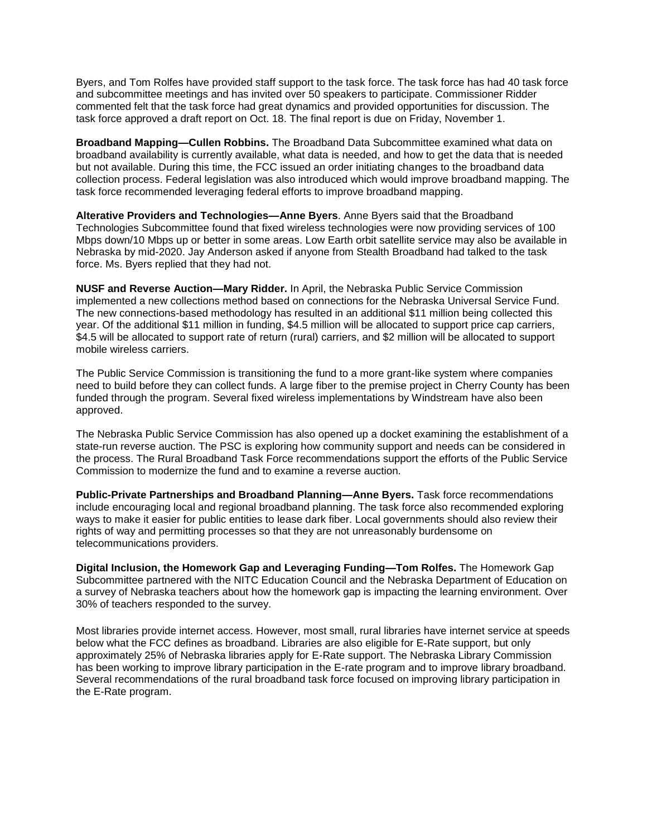Byers, and Tom Rolfes have provided staff support to the task force. The task force has had 40 task force and subcommittee meetings and has invited over 50 speakers to participate. Commissioner Ridder commented felt that the task force had great dynamics and provided opportunities for discussion. The task force approved a draft report on Oct. 18. The final report is due on Friday, November 1.

**Broadband Mapping—Cullen Robbins.** The Broadband Data Subcommittee examined what data on broadband availability is currently available, what data is needed, and how to get the data that is needed but not available. During this time, the FCC issued an order initiating changes to the broadband data collection process. Federal legislation was also introduced which would improve broadband mapping. The task force recommended leveraging federal efforts to improve broadband mapping.

**Alterative Providers and Technologies—Anne Byers**. Anne Byers said that the Broadband Technologies Subcommittee found that fixed wireless technologies were now providing services of 100 Mbps down/10 Mbps up or better in some areas. Low Earth orbit satellite service may also be available in Nebraska by mid-2020. Jay Anderson asked if anyone from Stealth Broadband had talked to the task force. Ms. Byers replied that they had not.

**NUSF and Reverse Auction—Mary Ridder.** In April, the Nebraska Public Service Commission implemented a new collections method based on connections for the Nebraska Universal Service Fund. The new connections-based methodology has resulted in an additional \$11 million being collected this year. Of the additional \$11 million in funding, \$4.5 million will be allocated to support price cap carriers, \$4.5 will be allocated to support rate of return (rural) carriers, and \$2 million will be allocated to support mobile wireless carriers.

The Public Service Commission is transitioning the fund to a more grant-like system where companies need to build before they can collect funds. A large fiber to the premise project in Cherry County has been funded through the program. Several fixed wireless implementations by Windstream have also been approved.

The Nebraska Public Service Commission has also opened up a docket examining the establishment of a state-run reverse auction. The PSC is exploring how community support and needs can be considered in the process. The Rural Broadband Task Force recommendations support the efforts of the Public Service Commission to modernize the fund and to examine a reverse auction.

**Public-Private Partnerships and Broadband Planning—Anne Byers.** Task force recommendations include encouraging local and regional broadband planning. The task force also recommended exploring ways to make it easier for public entities to lease dark fiber. Local governments should also review their rights of way and permitting processes so that they are not unreasonably burdensome on telecommunications providers.

**Digital Inclusion, the Homework Gap and Leveraging Funding—Tom Rolfes.** The Homework Gap Subcommittee partnered with the NITC Education Council and the Nebraska Department of Education on a survey of Nebraska teachers about how the homework gap is impacting the learning environment. Over 30% of teachers responded to the survey.

Most libraries provide internet access. However, most small, rural libraries have internet service at speeds below what the FCC defines as broadband. Libraries are also eligible for E-Rate support, but only approximately 25% of Nebraska libraries apply for E-Rate support. The Nebraska Library Commission has been working to improve library participation in the E-rate program and to improve library broadband. Several recommendations of the rural broadband task force focused on improving library participation in the E-Rate program.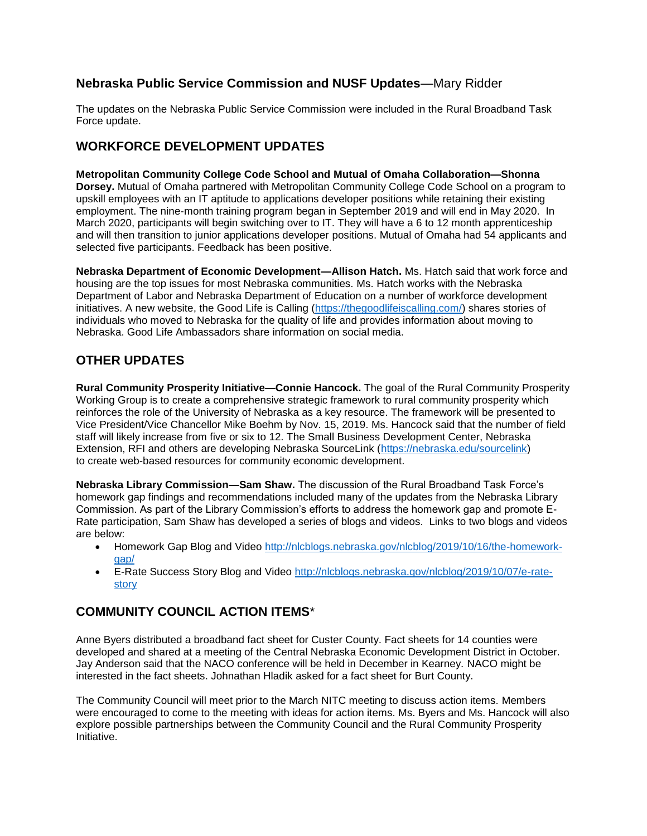## **Nebraska Public Service Commission and NUSF Updates**—Mary Ridder

The updates on the Nebraska Public Service Commission were included in the Rural Broadband Task Force update.

# **WORKFORCE DEVELOPMENT UPDATES**

**Metropolitan Community College Code School and Mutual of Omaha Collaboration—Shonna Dorsey.** Mutual of Omaha partnered with Metropolitan Community College Code School on a program to upskill employees with an IT aptitude to applications developer positions while retaining their existing employment. The nine-month training program began in September 2019 and will end in May 2020. In March 2020, participants will begin switching over to IT. They will have a 6 to 12 month apprenticeship and will then transition to junior applications developer positions. Mutual of Omaha had 54 applicants and selected five participants. Feedback has been positive.

**Nebraska Department of Economic Development—Allison Hatch.** Ms. Hatch said that work force and housing are the top issues for most Nebraska communities. Ms. Hatch works with the Nebraska Department of Labor and Nebraska Department of Education on a number of workforce development initiatives. A new website, the Good Life is Calling [\(https://thegoodlifeiscalling.com/\)](https://thegoodlifeiscalling.com/) shares stories of individuals who moved to Nebraska for the quality of life and provides information about moving to Nebraska. Good Life Ambassadors share information on social media.

# **OTHER UPDATES**

**Rural Community Prosperity Initiative—Connie Hancock.** The goal of the Rural Community Prosperity Working Group is to create a comprehensive strategic framework to rural community prosperity which reinforces the role of the University of Nebraska as a key resource. The framework will be presented to Vice President/Vice Chancellor Mike Boehm by Nov. 15, 2019. Ms. Hancock said that the number of field staff will likely increase from five or six to 12. The Small Business Development Center, Nebraska Extension, RFI and others are developing Nebraska SourceLink [\(https://nebraska.edu/sourcelink\)](https://nebraska.edu/sourcelink) to create web-based resources for community economic development.

**Nebraska Library Commission—Sam Shaw.** The discussion of the Rural Broadband Task Force's homework gap findings and recommendations included many of the updates from the Nebraska Library Commission. As part of the Library Commission's efforts to address the homework gap and promote E-Rate participation, Sam Shaw has developed a series of blogs and videos. Links to two blogs and videos are below:

- Homework Gap Blog and Video [http://nlcblogs.nebraska.gov/nlcblog/2019/10/16/the-homework](http://nlcblogs.nebraska.gov/nlcblog/2019/10/16/the-homework-gap/)[gap/](http://nlcblogs.nebraska.gov/nlcblog/2019/10/16/the-homework-gap/)
- E-Rate Success Story Blog and Video [http://nlcblogs.nebraska.gov/nlcblog/2019/10/07/e-rate](http://nlcblogs.nebraska.gov/nlcblog/2019/10/07/e-rate-story)[story](http://nlcblogs.nebraska.gov/nlcblog/2019/10/07/e-rate-story)

# **COMMUNITY COUNCIL ACTION ITEMS**\*

Anne Byers distributed a broadband fact sheet for Custer County. Fact sheets for 14 counties were developed and shared at a meeting of the Central Nebraska Economic Development District in October. Jay Anderson said that the NACO conference will be held in December in Kearney. NACO might be interested in the fact sheets. Johnathan Hladik asked for a fact sheet for Burt County.

The Community Council will meet prior to the March NITC meeting to discuss action items. Members were encouraged to come to the meeting with ideas for action items. Ms. Byers and Ms. Hancock will also explore possible partnerships between the Community Council and the Rural Community Prosperity Initiative.